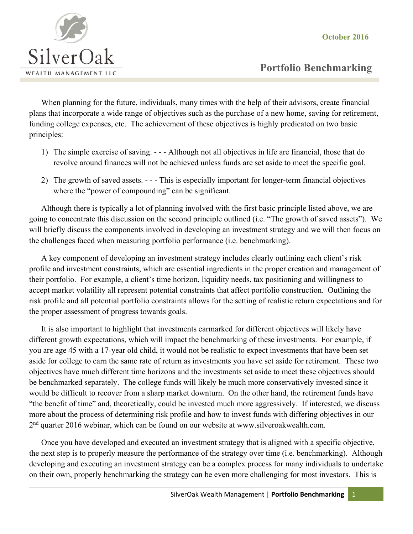**October 2016** 



 **Portfolio Benchmarking** 

When planning for the future, individuals, many times with the help of their advisors, create financial plans that incorporate a wide range of objectives such as the purchase of a new home, saving for retirement, funding college expenses, etc. The achievement of these objectives is highly predicated on two basic principles:

- 1) The simple exercise of saving. - Although not all objectives in life are financial, those that do revolve around finances will not be achieved unless funds are set aside to meet the specific goal.
- 2) The growth of saved assets. - This is especially important for longer-term financial objectives where the "power of compounding" can be significant.

Although there is typically a lot of planning involved with the first basic principle listed above, we are going to concentrate this discussion on the second principle outlined (i.e. "The growth of saved assets"). We will briefly discuss the components involved in developing an investment strategy and we will then focus on the challenges faced when measuring portfolio performance (i.e. benchmarking).

A key component of developing an investment strategy includes clearly outlining each client's risk profile and investment constraints, which are essential ingredients in the proper creation and management of their portfolio. For example, a client's time horizon, liquidity needs, tax positioning and willingness to accept market volatility all represent potential constraints that affect portfolio construction. Outlining the risk profile and all potential portfolio constraints allows for the setting of realistic return expectations and for the proper assessment of progress towards goals.

It is also important to highlight that investments earmarked for different objectives will likely have different growth expectations, which will impact the benchmarking of these investments. For example, if you are age 45 with a 17-year old child, it would not be realistic to expect investments that have been set aside for college to earn the same rate of return as investments you have set aside for retirement. These two objectives have much different time horizons and the investments set aside to meet these objectives should be benchmarked separately. The college funds will likely be much more conservatively invested since it would be difficult to recover from a sharp market downturn. On the other hand, the retirement funds have "the benefit of time" and, theoretically, could be invested much more aggressively. If interested, we discuss more about the process of determining risk profile and how to invest funds with differing objectives in our 2<sup>nd</sup> quarter 2016 webinar, which can be found on our website at www.silveroakwealth.com.

Once you have developed and executed an investment strategy that is aligned with a specific objective, the next step is to properly measure the performance of the strategy over time (i.e. benchmarking). Although developing and executing an investment strategy can be a complex process for many individuals to undertake on their own, properly benchmarking the strategy can be even more challenging for most investors. This is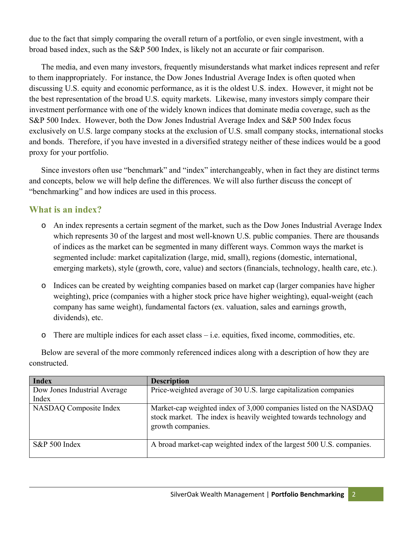due to the fact that simply comparing the overall return of a portfolio, or even single investment, with a broad based index, such as the S&P 500 Index, is likely not an accurate or fair comparison.

The media, and even many investors, frequently misunderstands what market indices represent and refer to them inappropriately. For instance, the Dow Jones Industrial Average Index is often quoted when discussing U.S. equity and economic performance, as it is the oldest U.S. index. However, it might not be the best representation of the broad U.S. equity markets. Likewise, many investors simply compare their investment performance with one of the widely known indices that dominate media coverage, such as the S&P 500 Index. However, both the Dow Jones Industrial Average Index and S&P 500 Index focus exclusively on U.S. large company stocks at the exclusion of U.S. small company stocks, international stocks and bonds. Therefore, if you have invested in a diversified strategy neither of these indices would be a good proxy for your portfolio.

Since investors often use "benchmark" and "index" interchangeably, when in fact they are distinct terms and concepts, below we will help define the differences. We will also further discuss the concept of "benchmarking" and how indices are used in this process.

### **What is an index?**

- o An index represents a certain segment of the market, such as the Dow Jones Industrial Average Index which represents 30 of the largest and most well-known U.S. public companies. There are thousands of indices as the market can be segmented in many different ways. Common ways the market is segmented include: market capitalization (large, mid, small), regions (domestic, international, emerging markets), style (growth, core, value) and sectors (financials, technology, health care, etc.).
- o Indices can be created by weighting companies based on market cap (larger companies have higher weighting), price (companies with a higher stock price have higher weighting), equal-weight (each company has same weight), fundamental factors (ex. valuation, sales and earnings growth, dividends), etc.
- o There are multiple indices for each asset class i.e. equities, fixed income, commodities, etc.

Below are several of the more commonly referenced indices along with a description of how they are constructed.

| <b>Index</b>                  | <b>Description</b>                                                                                                                                           |
|-------------------------------|--------------------------------------------------------------------------------------------------------------------------------------------------------------|
| Dow Jones Industrial Average  | Price-weighted average of 30 U.S. large capitalization companies                                                                                             |
| Index                         |                                                                                                                                                              |
| <b>NASDAQ</b> Composite Index | Market-cap weighted index of 3,000 companies listed on the NASDAQ<br>stock market. The index is heavily weighted towards technology and<br>growth companies. |
| $S\&P 500$ Index              | A broad market-cap weighted index of the largest 500 U.S. companies.                                                                                         |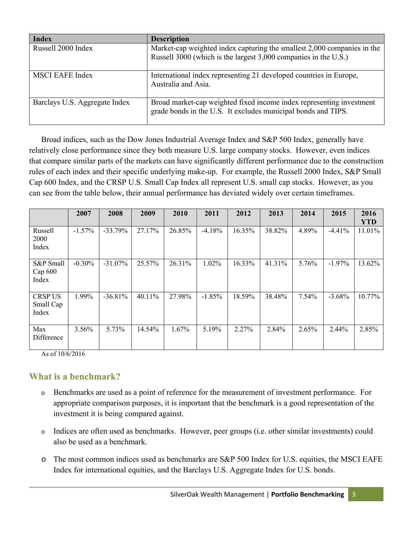| <b>Index</b>                  | <b>Description</b>                                                                                                                         |
|-------------------------------|--------------------------------------------------------------------------------------------------------------------------------------------|
| Russell 2000 Index            | Market-cap weighted index capturing the smallest 2,000 companies in the<br>Russell 3000 (which is the largest 3,000 companies in the U.S.) |
| <b>MSCI EAFE Index</b>        | International index representing 21 developed countries in Europe,<br>Australia and Asia.                                                  |
| Barclays U.S. Aggregate Index | Broad market-cap weighted fixed income index representing investment<br>grade bonds in the U.S. It excludes municipal bonds and TIPS.      |

Broad indices, such as the Dow Jones Industrial Average Index and S&P 500 Index, generally have relatively close performance since they both measure U.S. large company stocks. However, even indices that compare similar parts of the markets can have significantly different performance due to the construction rules of each index and their specific underlying make-up. For example, the Russell 2000 Index, S&P Small Cap 600 Index, and the CRSP U.S. Small Cap Index all represent U.S. small cap stocks. However, as you can see from the table below, their annual performance has deviated widely over certain timeframes.

|                                      | 2007     | 2008      | 2009   | 2010   | 2011     | 2012   | 2013   | 2014  | 2015      | 2016<br><b>YTD</b> |
|--------------------------------------|----------|-----------|--------|--------|----------|--------|--------|-------|-----------|--------------------|
| Russell<br>2000<br>Index             | $-1.57%$ | $-33.79%$ | 27.17% | 26.85% | $-4.18%$ | 16.35% | 38.82% | 4.89% | $-4.41%$  | 11.01%             |
| S&P Small<br>Cap 600<br>Index        | $-0.30%$ | $-31.07%$ | 25.57% | 26.31% | 1.02%    | 16.33% | 41.31% | 5.76% | $-1.97\%$ | 13.62%             |
| <b>CRSP US</b><br>Small Cap<br>Index | 1.99%    | $-36.81%$ | 40.11% | 27.98% | $-1.85%$ | 18.59% | 38.48% | 7.54% | $-3.68%$  | 10.77%             |
| Max<br>Difference                    | 3.56%    | 5.73%     | 14.54% | 1.67%  | 5.19%    | 2.27%  | 2.84%  | 2.65% | 2.44%     | 2.85%              |

As of 10/6/2016

### **What is a benchmark?**

- o Benchmarks are used as a point of reference for the measurement of investment performance. For appropriate comparison purposes, it is important that the benchmark is a good representation of the investment it is being compared against.
- o Indices are often used as benchmarks. However, peer groups (i.e. other similar investments) could also be used as a benchmark.
- o The most common indices used as benchmarks are S&P 500 Index for U.S. equities, the MSCI EAFE Index for international equities, and the Barclays U.S. Aggregate Index for U.S. bonds.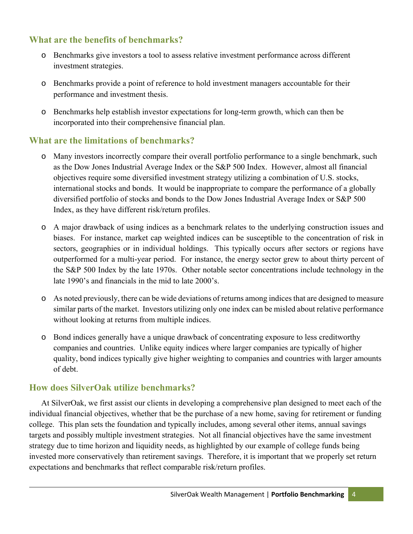# **What are the benefits of benchmarks?**

- o Benchmarks give investors a tool to assess relative investment performance across different investment strategies.
- o Benchmarks provide a point of reference to hold investment managers accountable for their performance and investment thesis.
- o Benchmarks help establish investor expectations for long-term growth, which can then be incorporated into their comprehensive financial plan.

## **What are the limitations of benchmarks?**

- o Many investors incorrectly compare their overall portfolio performance to a single benchmark, such as the Dow Jones Industrial Average Index or the S&P 500 Index. However, almost all financial objectives require some diversified investment strategy utilizing a combination of U.S. stocks, international stocks and bonds. It would be inappropriate to compare the performance of a globally diversified portfolio of stocks and bonds to the Dow Jones Industrial Average Index or S&P 500 Index, as they have different risk/return profiles.
- o A major drawback of using indices as a benchmark relates to the underlying construction issues and biases. For instance, market cap weighted indices can be susceptible to the concentration of risk in sectors, geographies or in individual holdings. This typically occurs after sectors or regions have outperformed for a multi-year period. For instance, the energy sector grew to about thirty percent of the S&P 500 Index by the late 1970s. Other notable sector concentrations include technology in the late 1990's and financials in the mid to late 2000's.
- o As noted previously, there can be wide deviations of returns among indices that are designed to measure similar parts of the market. Investors utilizing only one index can be misled about relative performance without looking at returns from multiple indices.
- o Bond indices generally have a unique drawback of concentrating exposure to less creditworthy companies and countries. Unlike equity indices where larger companies are typically of higher quality, bond indices typically give higher weighting to companies and countries with larger amounts of debt.

## **How does SilverOak utilize benchmarks?**

At SilverOak, we first assist our clients in developing a comprehensive plan designed to meet each of the individual financial objectives, whether that be the purchase of a new home, saving for retirement or funding college. This plan sets the foundation and typically includes, among several other items, annual savings targets and possibly multiple investment strategies. Not all financial objectives have the same investment strategy due to time horizon and liquidity needs, as highlighted by our example of college funds being invested more conservatively than retirement savings. Therefore, it is important that we properly set return expectations and benchmarks that reflect comparable risk/return profiles.